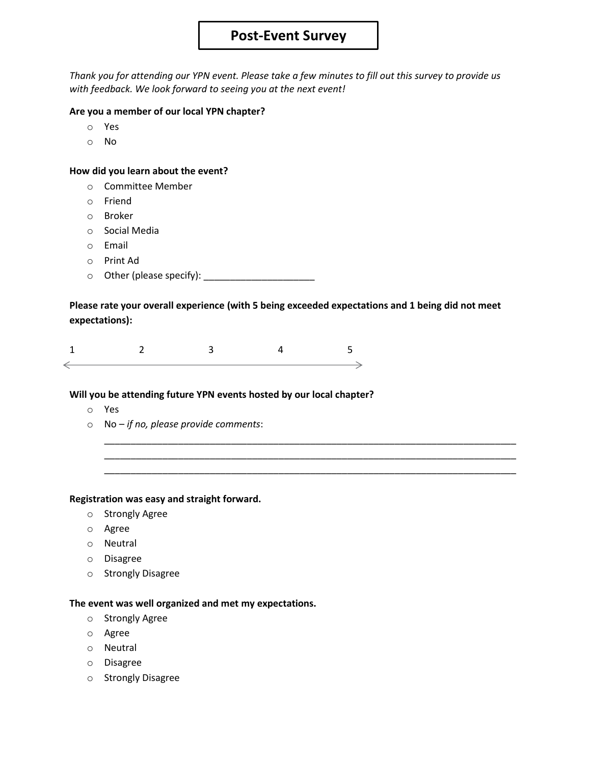## **Post-Event Survey**

*Thank you for attending our YPN event. Please take a few minutes to fill out this survey to provide us with feedback. We look forward to seeing you at the next event!*

#### **Are you a member of our local YPN chapter?**

- o Yes
- o No

#### **How did you learn about the event?**

- o Committee Member
- o Friend
- o Broker
- o Social Media
- o Email
- o Print Ad
- o Other (please specify): \_\_\_\_\_\_\_\_\_\_\_\_\_\_\_\_\_\_\_\_\_

**Please rate your overall experience (with 5 being exceeded expectations and 1 being did not meet expectations):**

\_\_\_\_\_\_\_\_\_\_\_\_\_\_\_\_\_\_\_\_\_\_\_\_\_\_\_\_\_\_\_\_\_\_\_\_\_\_\_\_\_\_\_\_\_\_\_\_\_\_\_\_\_\_\_\_\_\_\_\_\_\_\_\_\_\_\_\_\_\_\_\_\_\_\_\_\_\_ \_\_\_\_\_\_\_\_\_\_\_\_\_\_\_\_\_\_\_\_\_\_\_\_\_\_\_\_\_\_\_\_\_\_\_\_\_\_\_\_\_\_\_\_\_\_\_\_\_\_\_\_\_\_\_\_\_\_\_\_\_\_\_\_\_\_\_\_\_\_\_\_\_\_\_\_\_\_ \_\_\_\_\_\_\_\_\_\_\_\_\_\_\_\_\_\_\_\_\_\_\_\_\_\_\_\_\_\_\_\_\_\_\_\_\_\_\_\_\_\_\_\_\_\_\_\_\_\_\_\_\_\_\_\_\_\_\_\_\_\_\_\_\_\_\_\_\_\_\_\_\_\_\_\_\_\_

#### **Will you be attending future YPN events hosted by our local chapter?**

- o Yes
- o No *if no, please provide comments*:

#### **Registration was easy and straight forward.**

- o Strongly Agree
- o Agree
- o Neutral
- o Disagree
- o Strongly Disagree

## **The event was well organized and met my expectations.**

- o Strongly Agree
- o Agree
- o Neutral
- o Disagree
- o Strongly Disagree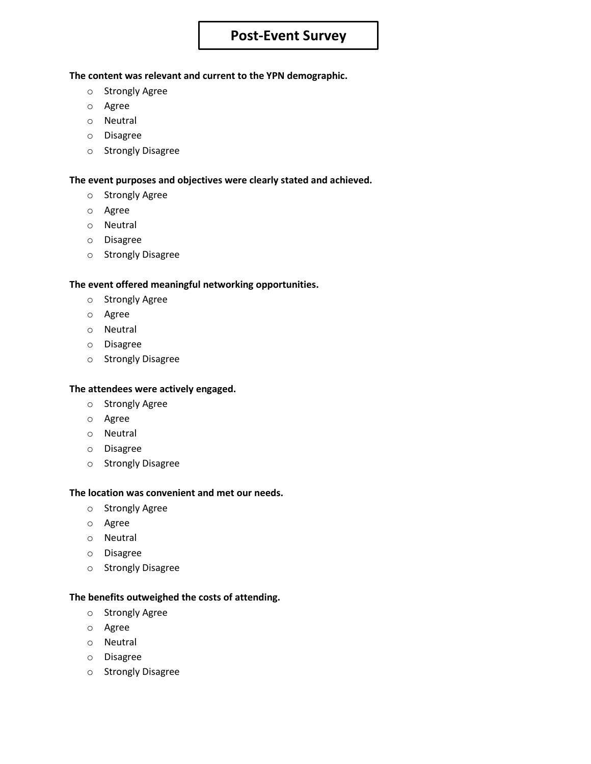# **Post-Event Survey**

#### **The content was relevant and current to the YPN demographic.**

- o Strongly Agree
- o Agree
- o Neutral
- o Disagree
- o Strongly Disagree

## **The event purposes and objectives were clearly stated and achieved.**

- o Strongly Agree
- o Agree
- o Neutral
- o Disagree
- o Strongly Disagree

## **The event offered meaningful networking opportunities.**

- o Strongly Agree
- o Agree
- o Neutral
- o Disagree
- o Strongly Disagree

## **The attendees were actively engaged.**

- o Strongly Agree
- o Agree
- o Neutral
- o Disagree
- o Strongly Disagree

## **The location was convenient and met our needs.**

- o Strongly Agree
- o Agree
- o Neutral
- o Disagree
- o Strongly Disagree

## **The benefits outweighed the costs of attending.**

- o Strongly Agree
- o Agree
- o Neutral
- o Disagree
- o Strongly Disagree